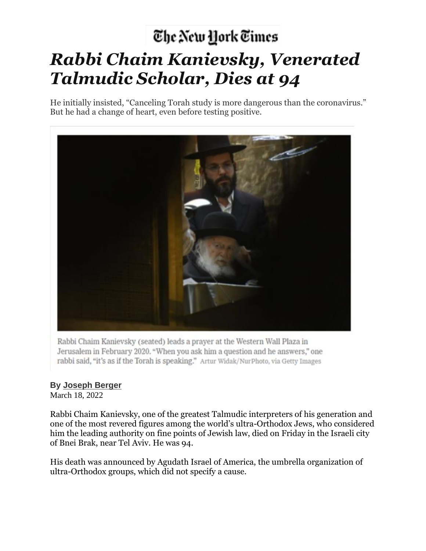## The New York Times *Rabbi Chaim Kanievsky, Venerated Talmudic Scholar, Dies at 94*

He initially insisted, "Canceling Torah study is more dangerous than the coronavirus." But he had a change of heart, even before testing positive.



Rabbi Chaim Kanievsky (seated) leads a prayer at the Western Wall Plaza in Jerusalem in February 2020. "When you ask him a question and he answers," one rabbi said, "it's as if the Torah is speaking." Artur Widak/NurPhoto, via Getty Images

## **By [Joseph](https://www.nytimes.com/by/joseph-berger) Berger**

March 18, 2022

Rabbi Chaim Kanievsky, one of the greatest Talmudic interpreters of his generation and one of the most revered figures among the world's ultra-Orthodox Jews, who considered him the leading authority on fine points of Jewish law, died on Friday in the Israeli city of Bnei Brak, near Tel Aviv. He was 94.

His death was announced by Agudath Israel of America, the umbrella organization of ultra-Orthodox groups, which did not specify a cause.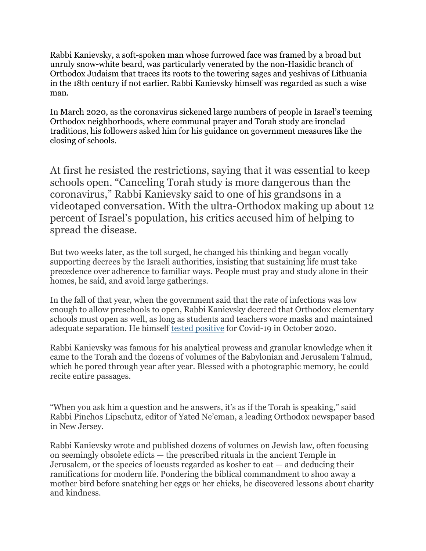Rabbi Kanievsky, a soft-spoken man whose furrowed face was framed by a broad but unruly snow-white beard, was particularly venerated by the non-Hasidic branch of Orthodox Judaism that traces its roots to the towering sages and yeshivas of Lithuania in the 18th century if not earlier. Rabbi Kanievsky himself was regarded as such a wise man.

In March 2020, as the coronavirus sickened large numbers of people in Israel's teeming Orthodox neighborhoods, where communal prayer and Torah study are ironclad traditions, his followers asked him for his guidance on government measures like the closing of schools.

At first he resisted the restrictions, saying that it was essential to keep schools open. "Canceling Torah study is more dangerous than the coronavirus," Rabbi Kanievsky said to one of his grandsons in a videotaped conversation. With the ultra-Orthodox making up about 12 percent of Israel's population, his critics accused him of helping to spread the disease.

But two weeks later, as the toll surged, he changed his thinking and began vocally supporting decrees by the Israeli authorities, insisting that sustaining life must take precedence over adherence to familiar ways. People must pray and study alone in their homes, he said, and avoid large gatherings.

In the fall of that year, when the government said that the rate of infections was low enough to allow preschools to open, Rabbi Kanievsky decreed that Orthodox elementary schools must open as well, as long as students and teachers wore masks and maintained adequate separation. He himself tested [positive](https://www.timesofisrael.com/top-ultra-orthodox-rabbi-92-tests-positive-for-coronavirus/) for Covid-19 in October 2020.

Rabbi Kanievsky was famous for his analytical prowess and granular knowledge when it came to the Torah and the dozens of volumes of the Babylonian and Jerusalem Talmud, which he pored through year after year. Blessed with a photographic memory, he could recite entire passages.

"When you ask him a question and he answers, it's as if the Torah is speaking," said Rabbi Pinchos Lipschutz, editor of Yated Ne'eman, a leading Orthodox newspaper based in New Jersey.

Rabbi Kanievsky wrote and published dozens of volumes on Jewish law, often focusing on seemingly obsolete edicts — the prescribed rituals in the ancient Temple in Jerusalem, or the species of locusts regarded as kosher to eat — and deducing their ramifications for modern life. Pondering the biblical commandment to shoo away a mother bird before snatching her eggs or her chicks, he discovered lessons about charity and kindness.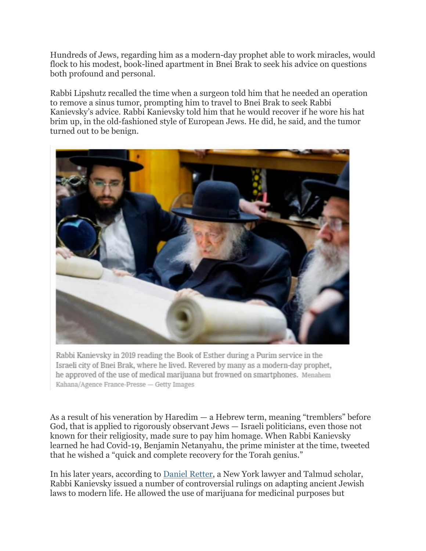Hundreds of Jews, regarding him as a modern-day prophet able to work miracles, would flock to his modest, book-lined apartment in Bnei Brak to seek his advice on questions both profound and personal.

Rabbi Lipshutz recalled the time when a surgeon told him that he needed an operation to remove a sinus tumor, prompting him to travel to Bnei Brak to seek Rabbi Kanievsky's advice. Rabbi Kanievsky told him that he would recover if he wore his hat brim up, in the old-fashioned style of European Jews. He did, he said, and the tumor turned out to be benign.



Rabbi Kanievsky in 2019 reading the Book of Esther during a Purim service in the Israeli city of Bnei Brak, where he lived. Revered by many as a modern-day prophet, he approved of the use of medical marijuana but frowned on smartphones. Menahem Kahana/Agence France-Presse - Getty Images

As a result of his veneration by Haredim — a Hebrew term, meaning "tremblers" before God, that is applied to rigorously observant Jews — Israeli politicians, even those not known for their religiosity, made sure to pay him homage. When Rabbi Kanievsky learned he had Covid-19, Benjamin Netanyahu, the prime minister at the time, tweeted that he wished a "quick and complete recovery for the Torah genius."

In his later years, according to Daniel [Retter,](https://www.historyofinformation.com/detail.php?id=3072) a New York lawyer and Talmud scholar, Rabbi Kanievsky issued a number of controversial rulings on adapting ancient Jewish laws to modern life. He allowed the use of marijuana for medicinal purposes but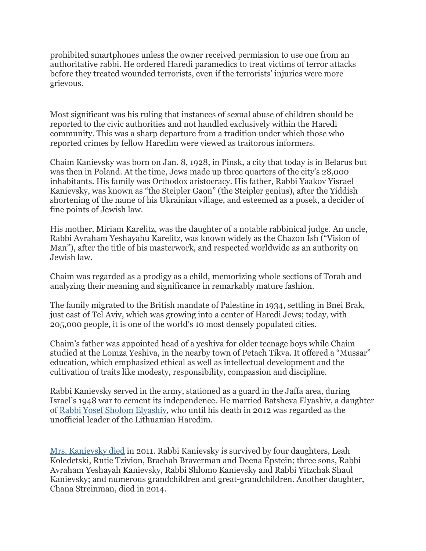prohibited smartphones unless the owner received permission to use one from an authoritative rabbi. He ordered Haredi paramedics to treat victims of terror attacks before they treated wounded terrorists, even if the terrorists' injuries were more grievous.

Most significant was his ruling that instances of sexual abuse of children should be reported to the civic authorities and not handled exclusively within the Haredi community. This was a sharp departure from a tradition under which those who reported crimes by fellow Haredim were viewed as traitorous informers.

Chaim Kanievsky was born on Jan. 8, 1928, in Pinsk, a city that today is in Belarus but was then in Poland. At the time, Jews made up three quarters of the city's 28,000 inhabitants. His family was Orthodox aristocracy. His father, Rabbi Yaakov Yisrael Kanievsky, was known as "the Steipler Gaon" (the Steipler genius), after the Yiddish shortening of the name of his Ukrainian village, and esteemed as a posek, a decider of fine points of Jewish law.

His mother, Miriam Karelitz, was the daughter of a notable rabbinical judge. An uncle, Rabbi Avraham Yeshayahu Karelitz, was known widely as the Chazon Ish ("Vision of Man"), after the title of his masterwork, and respected worldwide as an authority on Jewish law.

Chaim was regarded as a prodigy as a child, memorizing whole sections of Torah and analyzing their meaning and significance in remarkably mature fashion.

The family migrated to the British mandate of Palestine in 1934, settling in Bnei Brak, just east of Tel Aviv, which was growing into a center of Haredi Jews; today, with 205,000 people, it is one of the world's 10 most densely populated cities.

Chaim's father was appointed head of a yeshiva for older teenage boys while Chaim studied at the Lomza Yeshiva, in the nearby town of Petach Tikva. It offered a "Mussar" education, which emphasized ethical as well as intellectual development and the cultivation of traits like modesty, responsibility, compassion and discipline.

Rabbi Kanievsky served in the army, stationed as a guard in the Jaffa area, during Israel's 1948 war to cement its independence. He married Batsheva Elyashiv, a daughter of Rabbi Yosef Sholom [Elyashiv,](https://www.nytimes.com/2012/07/19/world/middleeast/rabbi-y-s-elyashiv-master-of-talmudic-law-dies-at-102.html) who until his death in 2012 was regarded as the unofficial leader of the Lithuanian Haredim.

Mrs. [Kanievsky](https://vimeo.com/547913990) died in 2011. Rabbi Kanievsky is survived by four daughters, Leah Koledetski, Rutie Tzivion, Brachah Braverman and Deena Epstein; three sons, Rabbi Avraham Yeshayah Kanievsky, Rabbi Shlomo Kanievsky and Rabbi Yitzchak Shaul Kanievsky; and numerous grandchildren and great-grandchildren. Another daughter, Chana Streinman, died in 2014.